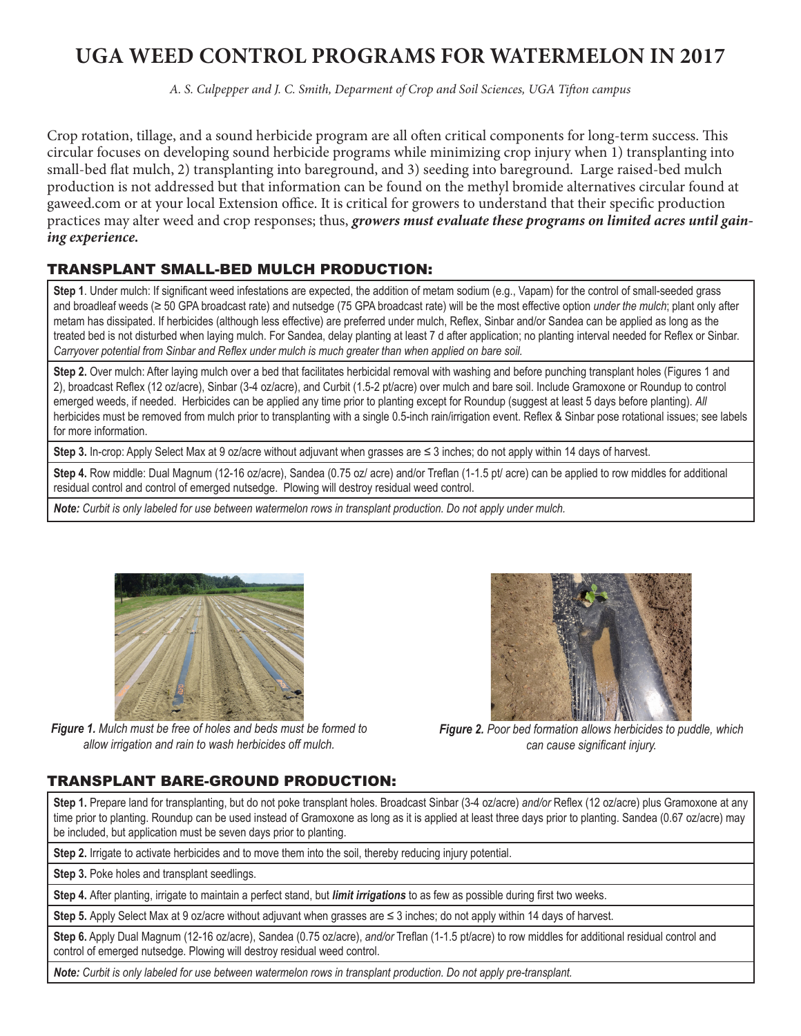# **UGA WEED CONTROL PROGRAMS FOR WATERMELON IN 2017**

*A. S. Culpepper and J. C. Smith, Deparment of Crop and Soil Sciences, UGA Tifton campus*

Crop rotation, tillage, and a sound herbicide program are all often critical components for long-term success. This circular focuses on developing sound herbicide programs while minimizing crop injury when 1) transplanting into small-bed flat mulch, 2) transplanting into bareground, and 3) seeding into bareground. Large raised-bed mulch production is not addressed but that information can be found on the methyl bromide alternatives circular found at gaweed.com or at your local Extension office. It is critical for growers to understand that their specific production practices may alter weed and crop responses; thus, *growers must evaluate these programs on limited acres until gaining experience.* 

# TRANSPLANT SMALL-BED MULCH PRODUCTION:

**Step 1**. Under mulch: If significant weed infestations are expected, the addition of metam sodium (e.g., Vapam) for the control of small-seeded grass and broadleaf weeds (≥ 50 GPA broadcast rate) and nutsedge (75 GPA broadcast rate) will be the most effective option *under the mulch*; plant only after metam has dissipated. If herbicides (although less effective) are preferred under mulch, Reflex, Sinbar and/or Sandea can be applied as long as the treated bed is not disturbed when laying mulch. For Sandea, delay planting at least 7 d after application; no planting interval needed for Reflex or Sinbar. *Carryover potential from Sinbar and Reflex under mulch is much greater than when applied on bare soil.*

**Step 2.** Over mulch: After laying mulch over a bed that facilitates herbicidal removal with washing and before punching transplant holes (Figures 1 and 2), broadcast Reflex (12 oz/acre), Sinbar (3-4 oz/acre), and Curbit (1.5-2 pt/acre) over mulch and bare soil. Include Gramoxone or Roundup to control emerged weeds, if needed. Herbicides can be applied any time prior to planting except for Roundup (suggest at least 5 days before planting). *All* herbicides must be removed from mulch prior to transplanting with a single 0.5-inch rain/irrigation event. Reflex & Sinbar pose rotational issues; see labels for more information.

**Step 3.** In-crop: Apply Select Max at 9 oz/acre without adjuvant when grasses are ≤ 3 inches; do not apply within 14 days of harvest.

**Step 4.** Row middle: Dual Magnum (12-16 oz/acre), Sandea (0.75 oz/ acre) and/or Treflan (1-1.5 pt/ acre) can be applied to row middles for additional residual control and control of emerged nutsedge. Plowing will destroy residual weed control.

*Note: Curbit is only labeled for use between watermelon rows in transplant production. Do not apply under mulch.*



*Figure 1. Mulch must be free of holes and beds must be formed to allow irrigation and rain to wash herbicides off mulch.*

*Figure 2. Poor bed formation allows herbicides to puddle, which can cause significant injury.*

# TRANSPLANT BARE-GROUND PRODUCTION:

**Step 1.** Prepare land for transplanting, but do not poke transplant holes. Broadcast Sinbar (3-4 oz/acre) *and/or* Reflex (12 oz/acre) plus Gramoxone at any time prior to planting. Roundup can be used instead of Gramoxone as long as it is applied at least three days prior to planting. Sandea (0.67 oz/acre) may be included, but application must be seven days prior to planting.

**Step 2.** Irrigate to activate herbicides and to move them into the soil, thereby reducing injury potential.

**Step 3.** Poke holes and transplant seedlings.

**Step 4.** After planting, irrigate to maintain a perfect stand, but *limit irrigations* to as few as possible during first two weeks.

**Step 5.** Apply Select Max at 9 oz/acre without adjuvant when grasses are ≤ 3 inches; do not apply within 14 days of harvest.

**Step 6.** Apply Dual Magnum (12-16 oz/acre), Sandea (0.75 oz/acre), *and/or* Treflan (1-1.5 pt/acre) to row middles for additional residual control and control of emerged nutsedge. Plowing will destroy residual weed control.

*Note: Curbit is only labeled for use between watermelon rows in transplant production. Do not apply pre-transplant.*